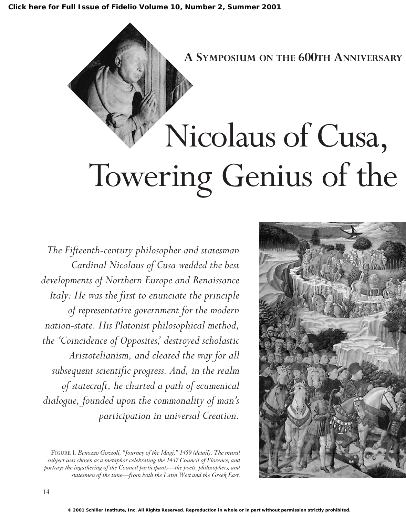

*The Fifteenth-century philosopher and statesman Cardinal Nicolaus of Cusa wedded the best developments of Northern Europe and Renaissance Italy: He was the first to enunciate the principle of representative government for the modern nation-state. His Platonist philosophical method, the 'Coincidence of Opposites,' destroyed scholastic Aristotelianism, and cleared the way for all subsequent scientific progress. And, in the realm of statecraft, he charted a path of ecumenical dialogue, founded upon the commonality of man's participation in universal Creation.*

FIGURE 1. *Benozzo Gozzoli, "Journey of the Magi," 1459 (detail). The mural subject was chosen as a metaphor celebrating the 1437 Council of Florence, and portrays the ingathering of the Council participants—the poets, philosophers, and statesmen of the time—from both the Latin West and the Greek East.*

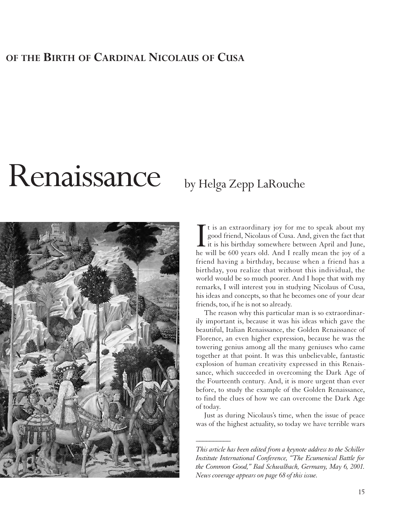### **OF THE BIRTH OF CARDINAL NICOLAUS OF CUSA**

# Renaissance by Helga Zepp LaRouche



It is an extraordinary joy for me to speak about my<br>good friend, Nicolaus of Cusa. And, given the fact that<br>it is his birthday somewhere between April and June,<br>he will be 600 years old. And I really mean the joy of a t is an extraordinary joy for me to speak about my good friend, Nicolaus of Cusa. And, given the fact that it is his birthday somewhere between April and June, friend having a birthday, because when a friend has a birthday, you realize that without this individual, the world would be so much poorer. And I hope that with my remarks, I will interest you in studying Nicolaus of Cusa, his ideas and concepts, so that he becomes one of your dear friends, too, if he is not so already.

The reason why this particular man is so extraordinarily important is, because it was his ideas which gave the beautiful, Italian Renaissance, the Golden Renaissance of Florence, an even higher expression, because he was the towering genius among all the many geniuses who came together at that point. It was this unbelievable, fantastic explosion of human creativity expressed in this Renaissance, which succeeded in overcoming the Dark Age of the Fourteenth century. And, it is more urgent than ever before, to study the example of the Golden Renaissance, to find the clues of how we can overcome the Dark Age of today.

Just as during Nicolaus's time, when the issue of peace was of the highest actuality, so today we have terrible wars

 $\overline{\phantom{a}}$ 

*This article has been edited from a keynote address to the Schiller Institute International Conference, "The Ecumenical Battle for the Common Good," Bad Schwalbach, Germany, May 6, 2001. News coverage appears on page 68 of this issue.*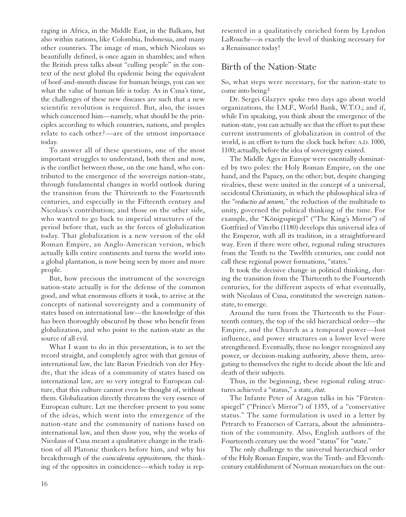raging in Africa, in the Middle East, in the Balkans, but also within nations, like Colombia, Indonesia, and many other countries. The image of man, which Nicolaus so beautifully defined, is once again in shambles; and when the British press talks about "culling people" in the context of the next global flu epidemic being the equivalent of hoof-and-mouth disease for human beings, you can see what the value of human life is today. As in Cusa's time, the challenges of these new diseases are such that a new scientific revolution is required. But, also, the issues which concerned him—namely, what should be the principles according to which countries, nations, and peoples relate to each other?—are of the utmost importance today.

To answer all of these questions, one of the most important struggles to understand, both then and now, is the conflict between those, on the one hand, who contributed to the emergence of the sovereign nation-state, through fundamental changes in world outlook during the transition from the Thirteenth to the Fourteenth centuries, and especially in the Fifteenth century and Nicolaus's contribution; and those on the other side, who wanted to go back to imperial structures of the period before that, such as the forces of globalization today. That globalization is a new version of the old Roman Empire, an Anglo-American version, which actually kills entire continents and turns the world into a global plantation, is now being seen by more and more people.

But, how precious the instrument of the sovereign nation-state actually is for the defense of the common good, and what enormous efforts it took, to arrive at the concepts of national sovereignty and a community of states based on international law—the knowledge of this has been thoroughly obscured by those who benefit from globalization, and who point to the nation-state as the source of all evil.

What I want to do in this presentation, is to set the record straight, and completely agree with that genius of international law, the late Baron Friedrich von der Heydte, that the ideas of a community of states based on international law, are so very integral to European culture, that this culture cannot even be thought of, without them. Globalization directly threatens the very essence of European culture. Let me therefore present to you some of the ideas, which went into the emergence of the nation-state and the community of nations based on international law, and then show you, why the works of Nicolaus of Cusa meant a qualitative change in the tradition of all Platonic thinkers before him, and why his breakthrough of the *coincidentia oppositorum,* the thinking of the opposites in coincidence—which today is rep-

resented in a qualitatively enriched form by Lyndon LaRouche—is exactly the level of thinking necessary for a Renaissance today!

### Birth of the Nation-State

So, what steps were necessary, for the nation-state to come into being?

Dr. Sergei Glazyev spoke two days ago about world organizations, the I.M.F., World Bank, W.T.O.; and if, while I'm speaking, you think about the emergence of the nation-state, you can actually see that the effort to put these current instruments of globalization in control of the world, is an effort to turn the clock back before A.D. 1000, 1100; actually, before the idea of sovereignty existed.

The Middle Ages in Europe were essentially dominated by two poles: the Holy Roman Empire, on the one hand, and the Papacy, on the other; but, despite changing rivalries, these were united in the concept of a universal, occidental Christianity, in which the philosophical idea of the "*reductio ad unum,*" the reduction of the multitude to unity, governed the political thinking of the time. For example, the "Königsspiegel" ("The King's Mirror") of Gottfried of Viterbo (1180) develops this universal idea of the Emperor, with all its tradition, in a straightforward way. Even if there were other, regional ruling structures from the Tenth to the Twelfth centuries, one could not call these regional power formations, "states."

It took the decisive change in political thinking, during the transition from the Thirteenth to the Fourteenth centuries, for the different aspects of what eventually, with Nicolaus of Cusa, constituted the sovereign nationstate, to emerge.

Around the turn from the Thirteenth to the Fourteenth century, the top of the old hierarchical order—the Empire, and the Church as a temporal power—lost influence, and power structures on a lower level were strengthened. Eventually, these no longer recognized any power, or decision-making authority, above them, arrogating to themselves the right to decide about the life and death of their subjects.

Thus, in the beginning, these regional ruling structures achieved a "status," a state, *état.*

The Infante Peter of Aragon talks in his "Fürstenspiegel" ("Prince's Mirror") of 1355, of a "conservative status." The same formulation is used in a letter by Petrarch to Francesco of Carrara, about the administration of the community. Also, English authors of the Fourteenth century use the word "status" for "state."

The only challenge to the universal hierarchical order of the Holy Roman Empire, was the Tenth- and Eleventhcentury establishment of Norman monarchies on the out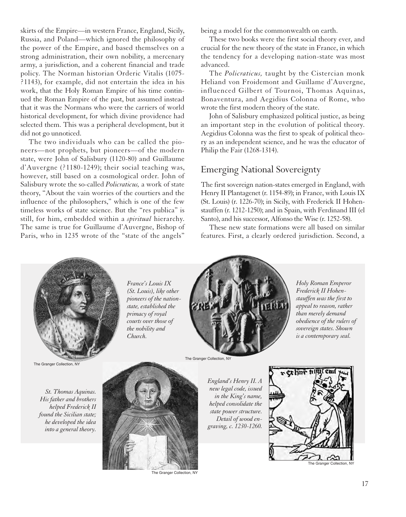skirts of the Empire—in western France, England, Sicily, Russia, and Poland—which ignored the philosophy of the power of the Empire, and based themselves on a strong administration, their own nobility, a mercenary army, a jurisdiction, and a coherent financial and trade policy. The Norman historian Orderic Vitalis (1075- ?1143), for example, did not entertain the idea in his work, that the Holy Roman Empire of his time continued the Roman Empire of the past, but assumed instead that it was the Normans who were the carriers of world historical development, for which divine providence had selected them. This was a peripheral development, but it did not go unnoticed.

The two individuals who can be called the pioneers—not prophets, but pioneers—of the modern state, were John of Salisbury (1120-80) and Guillaume d'Auvergne (?1180-1249); their social teaching was, however, still based on a cosmological order. John of Salisbury wrote the so-called *Policraticus,* a work of state theory, "About the vain worries of the courtiers and the influence of the philosophers," which is one of the few timeless works of state science. But the "res publica" is still, for him, embedded within a *spiritual* hierarchy. The same is true for Guillaume d'Auvergne, Bishop of Paris, who in 1235 wrote of the "state of the angels"

being a model for the commonwealth on earth.

These two books were the first social theory ever, and crucial for the new theory of the state in France, in which the tendency for a developing nation-state was most advanced.

The *Policraticus,* taught by the Cistercian monk Heliand von Froidemont and Guillame d'Auvergne, influenced Gilbert of Tournoi, Thomas Aquinas, Bonaventura, and Aegidius Colonna of Rome, who wrote the first modern theory of the state.

John of Salisbury emphasized political justice, as being an important step in the evolution of political theory. Aegidius Colonna was the first to speak of political theory as an independent science, and he was the educator of Philip the Fair (1268-1314).

### Emerging National Sovereignty

The first sovereign nation-states emerged in England, with Henry II Plantagenet (r. 1154-89); in France, with Louis IX (St. Louis) (r. 1226-70); in Sicily, with Frederick II Hohenstauffen (r. 1212-1250); and in Spain, with Ferdinand III (el Santo), and his successor, Alfonso the Wise (r. 1252-58).

These new state formations were all based on similar features. First, a clearly ordered jurisdiction. Second, a



*France's Louis IX (St. Louis), like other pioneers of the nationstate, established the primacy of royal courts over those of the nobility and Church.*



*Holy Roman Emperor Frederick II Hohenstauffen was the first to appeal to reason, rather than merely demand obedience of the rulers of sovereign states. Shown is a contemporary seal.*

The Granger Collection, NY

*St. Thomas Aquinas. His father and brothers helped Frederick II found the Sicilian state; he developed the idea into a general theory.* 



The Granger Collection, NY

The Granger Collection, NY

*England's Henry II. A new legal code, issued in the King's name, helped consolidate the state power structure. Detail of wood engraving, c. 1230-1260.*



The Granger Collection, NY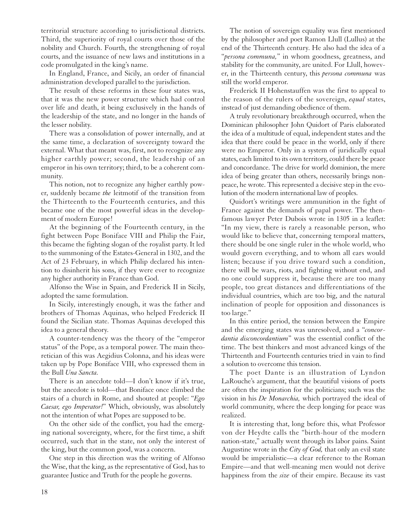territorial structure according to jurisdictional districts. Third, the superiority of royal courts over those of the nobility and Church. Fourth, the strengthening of royal courts, and the issuance of new laws and institutions in a code promulgated in the king's name.

In England, France, and Sicily, an order of financial administration developed parallel to the jurisdiction.

The result of these reforms in these four states was, that it was the new power structure which had control over life and death, it being exclusively in the hands of the leadership of the state, and no longer in the hands of the lesser nobility.

There was a consolidation of power internally, and at the same time, a declaration of sovereignty toward the external. What that meant was, first, not to recognize any higher earthly power; second, the leadership of an emperor in his own territory; third, to be a coherent community.

This notion, not to recognize any higher earthly power, suddenly became *the* leitmotif of the transition from the Thirteenth to the Fourteenth centuries, and this became one of the most powerful ideas in the development of modern Europe!

At the beginning of the Fourteenth century, in the fight between Pope Boniface VIII and Philip the Fair, this became the fighting slogan of the royalist party. It led to the summoning of the Estates-General in 1302, and the Act of 23 February, in which Philip declared his intention to disinherit his sons, if they were ever to recognize any higher authority in France than God.

Alfonso the Wise in Spain, and Frederick II in Sicily, adopted the same formulation.

In Sicily, interestingly enough, it was the father and brothers of Thomas Aquinas, who helped Frederick II found the Sicilian state. Thomas Aquinas developed this idea to a general theory.

A counter-tendency was the theory of the "emperor status" of the Pope, as a temporal power. The main theoretician of this was Aegidius Colonna, and his ideas were taken up by Pope Boniface VIII, who expressed them in the Bull *Una Sancta.*

There is an anecdote told—I don't know if it's true, but the anecdote is told—that Boniface once climbed the stairs of a church in Rome, and shouted at people: "*Ego Caesar, ego Imperator!*" Which, obviously, was absolutely not the intention of what Popes are supposed to be.

On the other side of the conflict, you had the emerging national sovereignty, where, for the first time, a shift occurred, such that in the state, not only the interest of the king, but the common good, was a concern.

One step in this direction was the writing of Alfonso the Wise, that the king, as the representative of God, has to guarantee Justice and Truth for the people he governs.

The notion of sovereign equality was first mentioned by the philosopher and poet Ramon Llull (Lullus) at the end of the Thirteenth century. He also had the idea of a "*persona communa,*" in whom goodness, greatness, and stability for the community, are united. For Llull, however, in the Thirteenth century, this *persona communa* was still the world emperor.

Frederick II Hohenstauffen was the first to appeal to the reason of the rulers of the sovereign, *equal* states, instead of just demanding obedience of them.

A truly revolutionary breakthrough occurred, when the Dominican philosopher John Quidort of Paris elaborated the idea of a multitude of equal, independent states and the idea that there could be peace in the world, only if there were no Emperor. Only in a system of juridically equal states, each limited to its own territory, could there be peace and concordance. The drive for world dominion, the mere idea of being greater than others, necessarily brings nonpeace, he wrote. This represented a decisive step in the evolution of the modern international law of peoples.

Quidort's writings were ammunition in the fight of France against the demands of papal power. The thenfamous lawyer Peter Dubois wrote in 1305 in a leaflet: "In my view, there is rarely a reasonable person, who would like to believe that, concerning temporal matters, there should be one single ruler in the whole world, who would govern everything, and to whom all ears would listen; because if you drive toward such a condition, there will be wars, riots, and fighting without end, and no one could suppress it, because there are too many people, too great distances and differentiations of the individual countries, which are too big, and the natural inclination of people for opposition and dissonances is too large."

In this entire period, the tension between the Empire and the emerging states was unresolved, and a "*concordantia disconcordantium*" was the essential conflict of the time. The best thinkers and most advanced kings of the Thirteenth and Fourteenth centuries tried in vain to find a solution to overcome this tension.

The poet Dante is an illustration of Lyndon LaRouche's argument, that the beautiful visions of poets are often the inspiration for the politicians; such was the vision in his *De Monarchia,* which portrayed the ideal of world community, where the deep longing for peace was realized.

It is interesting that, long before this, what Professor von der Heydte calls the "birth-hour of the modern nation-state," actually went through its labor pains. Saint Augustine wrote in the *City of God,* that only an evil state would be imperialistic—a clear reference to the Roman Empire—and that well-meaning men would not derive happiness from the *size* of their empire. Because its vast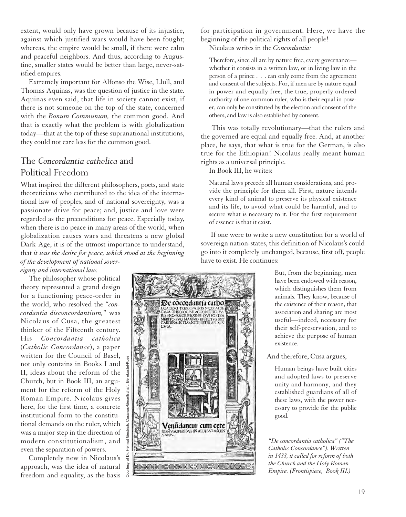extent, would only have grown because of its injustice, against which justified wars would have been fought; whereas, the empire would be small, if there were calm and peaceful neighbors. And thus, according to Augustine, smaller states would be better than large, never-satisfied empires.

Extremely important for Alfonso the Wise, Llull, and Thomas Aquinas, was the question of justice in the state. Aquinas even said, that life in society cannot exist, if there is not someone on the top of the state, concerned with the *Bonum Communum,* the common good. And that is exactly what the problem is with globalization today—that at the top of these supranational institutions, they could not care less for the common good.

### The *Concordantia catholica* and Political Freedom

What inspired the different philosophers, poets, and state theoreticians who contributed to the idea of the international law of peoples, and of national sovereignty, was a passionate drive for peace; and, justice and love were regarded as the preconditions for peace. Especially today, when there is no peace in many areas of the world, when globalization causes wars and threatens a new global Dark Age, it is of the utmost importance to understand, that *it was the desire for peace, which stood at the beginning of the development of national sover-*

Courtesy of Dr. Helmut Gestrich, Cusanus-Gesellschaft, Bernkastel-Kues

r of Dr.

### *eignty and international law.*

The philosopher whose political theory represented a grand design for a functioning peace-order in the world, who resolved the "*concordantia disconcordantium,*" was Nicolaus of Cusa, the greatest thinker of the Fifteenth century. His *Concordantia catholica* (*Catholic Concordance*), a paper written for the Council of Basel, not only contains in Books I and II, ideas about the reform of the Church, but in Book III, an argument for the reform of the Holy Roman Empire. Nicolaus gives here, for the first time, a concrete institutional form to the constitutional demands on the ruler, which was a major step in the direction of modern constitutionalism, and even the separation of powers.

Completely new in Nicolaus's approach, was the idea of natural freedom and equality, as the basis for participation in government. Here, we have the beginning of the political rights of all people!

Nicolaus writes in the *Concordantia:*

Therefore, since all are by nature free, every governance whether it consists in a written law, or in living law in the person of a prince . . . can only come from the agreement and consent of the subjects. For, if men are by nature equal in power and equally free, the true, properly ordered authority of one common ruler, who is their equal in power, can only be constituted by the election and consent of the others, and law is also established by consent.

This was totally revolutionary—that the rulers and the governed are equal and equally free. And, at another place, he says, that what is true for the German, is also true for the Ethiopian! Nicolaus really meant human rights as a universal principle.

In Book III, he writes:

Natural laws precede all human considerations, and provide the principle for them all. First, nature intends every kind of animal to preserve its physical existence and its life, to avoid what could be harmful, and to secure what is necessary to it. For the first requirement of essence is that it exist.

If one were to write a new constitution for a world of sovereign nation-states, this definition of Nicolaus's could go into it completely unchanged, because, first off, people have to exist. He continues:



But, from the beginning, men have been endowed with reason, which distinguishes them from animals. They know, because of the existence of their reason, that association and sharing are most useful—indeed, necessary for their self-preservation, and to achieve the purpose of human existence.

And therefore, Cusa argues,

Human beings have built cities and adopted laws to preserve unity and harmony, and they established guardians of all of these laws, with the power necessary to provide for the public good.

*"De concordantia catholica" ("The Catholic Concordance"). Written in 1433, it called for reform of both the Church and the Holy Roman Empire. (Frontispiece, Book III.)*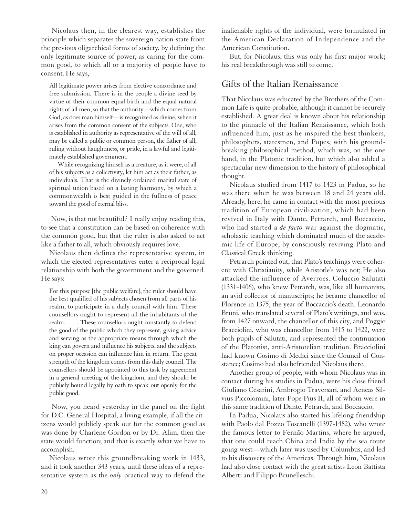Nicolaus then, in the clearest way, establishes the principle which separates the sovereign nation-state from the previous oligarchical forms of society, by defining the only legitimate source of power, as caring for the common good, to which all or a majority of people have to consent. He says,

All legitimate power arises from elective concordance and free submission. There is in the people a divine seed by virtue of their common equal birth and the equal natural rights of all men, so that the authority—which comes from God, as does man himself—is recognized as divine, when it arises from the common consent of the subjects. One, who is established in authority as representative of the will of all, may be called a public or common person, the father of all, ruling without haughtiness, or pride, in a lawful and legitimately established government.

While recognizing himself as a creature, as it were, of all of his subjects as a collectivity, let him act as their father, as individuals. That is the divinely ordained marital state of spiritual union based on a lasting harmony, by which a commonwealth is best guided in the fullness of peace toward the good of eternal bliss.

Now, is that not beautiful? I really enjoy reading this, to see that a constitution can be based on coherence with the common good, but that the ruler is also asked to act like a father to all, which obviously requires love.

Nicolaus then defines the representative system, in which the elected representatives enter a reciprocal legal relationship with both the government and the governed. He says:

For this purpose [the public welfare], the ruler should have the best qualified of his subjects chosen from all parts of his realm, to participate in a daily council with him. These counsellors ought to represent all the inhabitants of the realm. . . . These counsellors ought constantly to defend the good of the public which they represent, giving advice and serving as the appropriate means through which the king can govern and influence his subjects, and the subjects on proper occasion can influence him in return. The great strength of the kingdom comes from this daily council. The counsellors should be appointed to this task by agreement in a general meeting of the kingdom, and they should be publicly bound legally by oath to speak out openly for the public good.

Now, you heard yesterday in the panel on the fight for D.C. General Hospital, a living example, if all the citizens would publicly speak out for the common good as was done by Charlene Gordon or by Dr. Alim, then the state would function; and that is exactly what we have to accomplish.

Nicolaus wrote this groundbreaking work in 1433, and it took another 343 years, until these ideas of a representative system as the *only* practical way to defend the inalienable rights of the individual, were formulated in the American Declaration of Independence and the American Constitution.

But, for Nicolaus, this was only his first major work; his real breakthrough was still to come.

### Gifts of the Italian Renaissance

That Nicolaus was educated by the Brothers of the Common Life is quite probable, although it cannot be securely established. A great deal is known about his relationship to the pinnacle of the Italian Renaissance, which both influenced him, just as he inspired the best thinkers, philosophers, statesmen, and Popes, with his groundbreaking philosophical method, which was, on the one hand, in the Platonic tradition, but which also added a spectacular new dimension to the history of philosophical thought.

Nicolaus studied from 1417 to 1423 in Padua, so he was there when he was between 18 and 24 years old. Already, here, he came in contact with the most precious tradition of European civilization, which had been revived in Italy with Dante, Petrarch, and Boccaccio, who had started a *de facto* war against the dogmatic, scholastic teaching which dominated much of the academic life of Europe, by consciously reviving Plato and Classical Greek thinking.

Petrarch pointed out, that Plato's teachings were coherent with Christianity, while Aristotle's was not; He also attacked the influence of Averroes. Coluccio Salutati (1331-1406), who knew Petrarch, was, like all humanists, an avid collector of manuscripts; he became chancellor of Florence in 1375, the year of Boccaccio's death. Leonardo Bruni, who translated several of Plato's writings, and was, from 1427 onward, the chancellor of this city, and Poggio Bracciolini, who was chancellor from 1415 to 1422, were both pupils of Salutati, and represented the continuation of the Platonist, anti-Aristotelian tradition. Bracciolini had known Cosimo di Medici since the Council of Constance; Cosimo had also befriended Nicolaus there.

Another group of people, with whom Nicolaus was in contact during his studies in Padua, were his close friend Giuliano Cesarini, Ambrogio Traversari, and Aeneas Silvius Piccolomini, later Pope Pius II, all of whom were in this same tradition of Dante, Petrarch, and Boccaccio.

In Padua, Nicolaus also started his lifelong friendship with Paolo dal Pozzo Toscanelli (1397-1482), who wrote the famous letter to Fernão Martins, where he argued, that one could reach China and India by the sea route going west—which later was used by Columbus, and led to his discovery of the Americas. Through him, Nicolaus had also close contact with the great artists Leon Battista Alberti and Filippo Brunelleschi.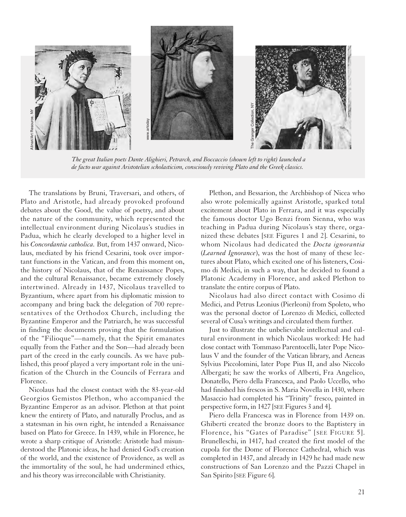

*The great Italian poets Dante Alighieri, Petrarch, and Boccaccio (shown left to right) launched a*

The translations by Bruni, Traversari, and others, of Plato and Aristotle, had already provoked profound debates about the Good, the value of poetry, and about the nature of the community, which represented the intellectual environment during Nicolaus's studies in Padua, which he clearly developed to a higher level in his *Concordantia catholica.* But, from 1437 onward, Nicolaus, mediated by his friend Cesarini, took over important functions in the Vatican, and from this moment on, the history of Nicolaus, that of the Renaissance Popes, and the cultural Renaissance, became extremely closely intertwined. Already in 1437, Nicolaus travelled to Byzantium, where apart from his diplomatic mission to accompany and bring back the delegation of 700 representatives of the Orthodox Church, including the Byzantine Emperor and the Patriarch, he was successful in finding the documents proving that the formulation of the "Filioque"—namely, that the Spirit emanates equally from the Father and the Son—had already been part of the creed in the early councils. As we have published, this proof played a very important role in the unification of the Church in the Councils of Ferrara and Florence.

Nicolaus had the closest contact with the 83-year-old Georgios Gemistos Plethon, who accompanied the Byzantine Emperor as an advisor. Plethon at that point knew the entirety of Plato, and naturally Proclus, and as a statesman in his own right, he intended a Renaissance based on Plato for Greece. In 1439, while in Florence, he wrote a sharp critique of Aristotle: Aristotle had misunderstood the Platonic ideas, he had denied God's creation of the world, and the existence of Providence, as well as the immortality of the soul, he had undermined ethics, and his theory was irreconcilable with Christianity.

Plethon, and Bessarion, the Archbishop of Nicea who also wrote polemically against Aristotle, sparked total excitement about Plato in Ferrara, and it was especially the famous doctor Ugo Benzi from Sienna, who was teaching in Padua during Nicolaus's stay there, organized these debates [SEE Figures 1 and 2]. Cesarini, to whom Nicolaus had dedicated the *Docta ignorantia* (*Learned Ignorance*), was the host of many of these lectures about Plato, which excited one of his listeners, Cosimo di Medici, in such a way, that he decided to found a Platonic Academy in Florence, and asked Plethon to translate the entire corpus of Plato.

Nicolaus had also direct contact with Cosimo di Medici, and Petrus Leonius (Pierleoni) from Spoleto, who was the personal doctor of Lorenzo di Medici, collected several of Cusa's writings and circulated them further.

Just to illustrate the unbelievable intellectual and cultural environment in which Nicolaus worked: He had close contact with Tommaso Parentocelli, later Pope Nicolaus V and the founder of the Vatican library, and Aeneas Sylvius Piccolomini, later Pope Pius II, and also Niccolo Albergati; he saw the works of Alberti, Fra Angelico, Donatello, Piero della Francesca, and Paolo Uccello, who had finished his frescos in S. Maria Novella in 1430, where Masaccio had completed his "Trinity" fresco, painted in perspective form, in 1427 [SEE Figures 3 and 4].

Piero della Francesca was in Florence from 1439 on. Ghiberti created the bronze doors to the Baptistery in Florence, his "Gates of Paradise" [SEE FIGURE 5]. Brunelleschi, in 1417, had created the first model of the cupola for the Dome of Florence Cathedral, which was completed in 1437, and already in 1429 he had made new constructions of San Lorenzo and the Pazzi Chapel in San Spirito [SEE Figure 6].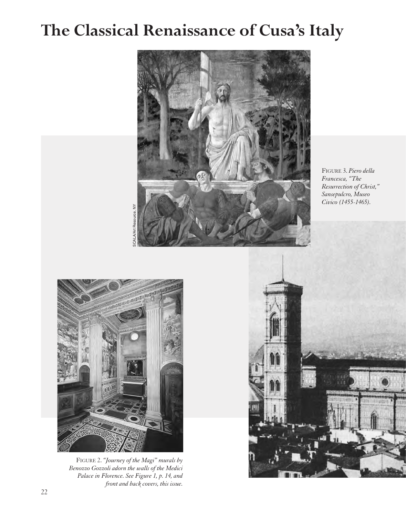## **The Classical Renaissance of Cusa's Italy**



FIGURE 3. *Piero della Francesca, "The Resurrection of Christ," Sansepulcro, Museo Civico (1455-1465).*



FIGURE 2. *"Journey of the Magi" murals by Benozzo Gozzoli adorn the walls of the Medici Palace in Florence. See Figure 1, p. 14, and front and back covers, this issue.*

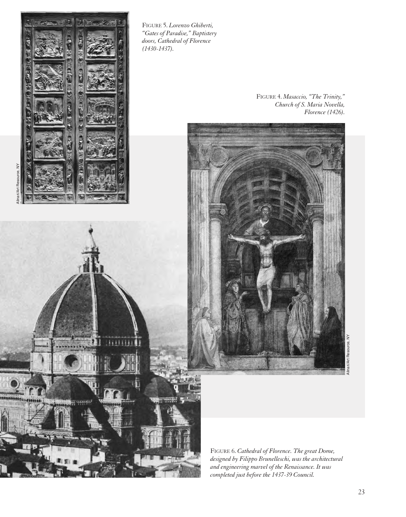

\*\*\*\*\*\*\*\* **Billitti** 

FIGURE 5. *Lorenzo Ghiberti, "Gates of Paradise," Baptistery doors, Cathedral of Florence (1430-1437).*

> FIGURE 4. *Masaccio, "The Trinity," Church of S. Maria Novella, Florence (1426).*



FIGURE 6. *Cathedral of Florence. The great Dome, designed by Filippo Brunelleschi, was the architectural and engineering marvel of the Renaissance. It was completed just before the 1437-39 Council.*

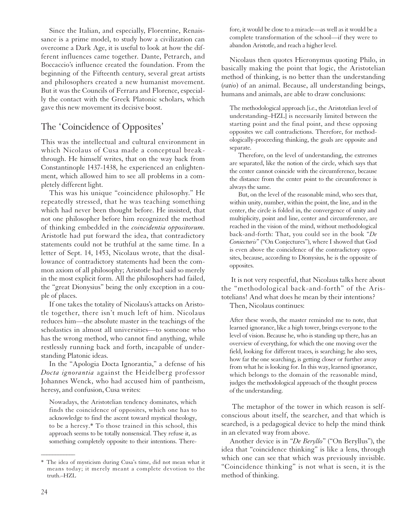Since the Italian, and especially, Florentine, Renaissance is a prime model, to study how a civilization can overcome a Dark Age, it is useful to look at how the different influences came together. Dante, Petrarch, and Boccaccio's influence created the foundation. From the beginning of the Fifteenth century, several great artists and philosophers created a new humanist movement. But it was the Councils of Ferrara and Florence, especially the contact with the Greek Platonic scholars, which gave this new movement its decisive boost.

### The 'Coincidence of Opposites'

This was the intellectual and cultural environment in which Nicolaus of Cusa made a conceptual breakthrough. He himself writes, that on the way back from Constantinople 1437-1438, he experienced an enlightenment, which allowed him to see all problems in a completely different light.

This was his unique "coincidence philosophy." He repeatedly stressed, that he was teaching something which had never been thought before. He insisted, that not one philosopher before him recognized the method of thinking embedded in the *coincidentia oppositorum.* Aristotle had put forward the idea, that contradictory statements could not be truthful at the same time. In a letter of Sept. 14, 1453, Nicolaus wrote, that the disallowance of contradictory statements had been the common axiom of all philosophy; Aristotle had said so merely in the most explicit form. All the philosophers had failed, the "great Dionysius" being the only exception in a couple of places.

If one takes the totality of Nicolaus's attacks on Aristotle together, there isn't much left of him. Nicolaus reduces him—the absolute master in the teachings of the scholastics in almost all universities—to someone who has the wrong method, who cannot find anything, while restlessly running back and forth, incapable of understanding Platonic ideas.

In the "Apologia Docta Ignorantia," a defense of his *Docta ignorantia* against the Heidelberg professor Johannes Wenck, who had accused him of pantheism, heresy, and confusion, Cusa writes:

Nowadays, the Aristotelian tendency dominates, which finds the coincidence of opposites, which one has to acknowledge to find the ascent toward mystical theology, to be a heresy.\* To those trained in this school, this approach seems to be totally nonsensical. They refuse it, as something completely opposite to their intentions. Therefore, it would be close to a miracle—as well as it would be a complete transformation of the school—if they were to abandon Aristotle, and reach a higher level.

Nicolaus then quotes Hieronymus quoting Philo, in basically making the point that logic, the Aristotelian method of thinking, is no better than the understanding (*ratio*) of an animal. Because, all understanding beings, humans and animals, are able to draw conclusions:

The methodological approach [i.e., the Aristotelian level of understanding–HZL] is necessarily limited between the starting point and the final point, and these opposing opposites we call contradictions. Therefore, for methodologically-proceeding thinking, the goals are opposite and separate.

Therefore, on the level of understanding, the extremes are separated, like the notion of the circle, which says that the center cannot coincide with the circumference, because the distance from the center point to the circumference is always the same.

But, on the level of the reasonable mind, who sees that, within unity, number, within the point, the line, and in the center, the circle is folded in, the convergence of unity and multiplicity, point and line, center and circumference, are reached in the vision of the mind, without methodological back-and-forth: That, you could see in the book "*De Coniecturis*" ("On Conjectures"), where I showed that God is even above the coincidence of the contradictory opposites, because, according to Dionysius, he is the opposite of opposites.

It is not very respectful, that Nicolaus talks here about the "methodological back-and-forth" of the Aristotelians! And what does he mean by their intentions? Then, Nicolaus continues:

After these words, the master reminded me to note, that learned ignorance, like a high tower, brings everyone to the level of vision. Because he, who is standing up there, has an overview of everything, for which the one moving over the field, looking for different traces, is searching; he also sees, how far the one searching, is getting closer or further away from what he is looking for. In this way, learned ignorance,

which belongs to the domain of the reasonable mind, judges the methodological approach of the thought process of the understanding.

The metaphor of the tower in which reason is selfconscious about itself, the searcher, and that which is searched, is a pedagogical device to help the mind think in an elevated way from above.

Another device is in "*De Beryllo*" ("On Beryllus"), the idea that "coincidence thinking" is like a lens, through which one can see that which was previously invisible. "Coincidence thinking" is not what is seen, it is the method of thinking.

\_\_\_\_\_\_\_\_\_\_\_\_

<sup>\*</sup> The idea of mysticism during Cusa's time, did not mean what it means today; it merely meant a complete devotion to the truth.–HZL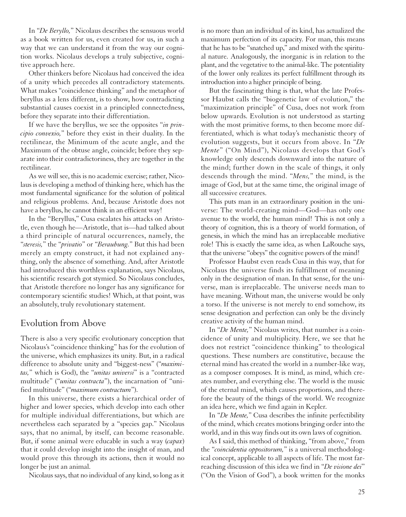In "*De Beryllo,*" Nicolaus describes the sensuous world as a book written for us, even created for us, in such a way that we can understand it from the way our cognition works. Nicolaus develops a truly subjective, cognitive approach here.

Other thinkers before Nicolaus had conceived the idea of a unity which precedes all contradictory statements. What makes "coincidence thinking" and the metaphor of beryllus as a lens different, is to show, how contradicting substantial causes coexist in a principled connectedness, before they separate into their differentiation.

If we have the beryllus, we see the opposites "*in principio convexio,*" before they exist in their duality. In the rectilinear, the Minimum of the acute angle, and the Maximum of the obtuse angle, coincide; before they separate into their contradictoriness, they are together in the rectilinear.

As we will see, this is no academic exercise; rather, Nicolaus is developing a method of thinking here, which has the most fundamental significance for the solution of political and religious problems. And, because Aristotle does not have a beryllus, he cannot think in an efficient way!

In the "Beryllus," Cusa escalates his attacks on Aristotle, even though he—Aristotle, that is—had talked about a third principle of natural occurrences, namely, the "*steresis,*" the "*privatio*" or "*Beraubung.*" But this had been merely an empty construct, it had not explained anything, only the absence of something. And, after Aristotle had introduced this worthless explanation, says Nicolaus, his scientific research got stymied. So Nicolaus concludes, that Aristotle therefore no longer has any significance for contemporary scientific studies! Which, at that point, was an absolutely, truly revolutionary statement.

### Evolution from Above

There is also a very specific evolutionary conception that Nicolaus's "coincidence thinking" has for the evolution of the universe, which emphasizes its unity. But, in a radical difference to absolute unity and "biggest-ness" ("*maximitas,*" which is God), the "*unitas universi*" is a "contracted multitude" ("*unitas contracta*"), the incarnation of "unified multitude" ("*maximum contractum*").

In this universe, there exists a hierarchical order of higher and lower species, which develop into each other for multiple individual differentiations, but which are nevertheless each separated by a "species gap." Nicolaus says, that no animal, by itself, can become reasonable. But, if some animal were educable in such a way (*capax*) that it could develop insight into the insight of man, and would prove this through its actions, then it would no longer be just an animal.

Nicolaus says, that no individual of any kind, so long as it

is no more than an individual of its kind, has actualized the maximum perfection of its capacity. For man, this means that he has to be "snatched up," and mixed with the spiritual nature. Analogously, the inorganic is in relation to the plant, and the vegetative to the animal-like. The potentiality of the lower only realizes its perfect fulfillment through its introduction into a higher principle of being.

But the fascinating thing is that, what the late Professor Haubst calls the "biogenetic law of evolution," the "maximization principle" of Cusa, does not work from below upwards. Evolution is not understood as starting with the most primitive forms, to then become more differentiated, which is what today's mechanistic theory of evolution suggests, but it occurs from above. In "*De Mente*" ("On Mind"), Nicolaus develops that God's knowledge only descends downward into the nature of the mind; further down in the scale of things, it only descends through the mind. "*Mens,*" the mind, is the image of God, but at the same time, the original image of all successive creatures.

This puts man in an extraordinary position in the universe: The world-creating mind—God—has only one avenue to the world, the human mind! This is not only a theory of cognition, this is a theory of world formation, of genesis, in which the mind has an irreplaceable mediative role! This is exactly the same idea, as when LaRouche says, that the universe "obeys" the cognitive powers of the mind!

Professor Haubst even reads Cusa in this way, that for Nicolaus the universe finds its fulfillment of meaning only in the designation of man. In that sense, for the universe, man is irreplaceable. The universe needs man to have meaning. Without man, the universe would be only a torso. If the universe is not merely to end somehow, its sense designation and perfection can only be the divinely creative activity of the human mind.

In "*De Mente,*" Nicolaus writes, that number is a coincidence of unity and multiplicity. Here, we see that he does not restrict "coincidence thinking" to theological questions. These numbers are constitutive, because the eternal mind has created the world in a number-like way, as a composer composes. It is mind, as mind, which creates number, and everything else. The world is the music of the eternal mind, which causes proportions, and therefore the beauty of the things of the world. We recognize an idea here, which we find again in Kepler.

In "*De Mente,*" Cusa describes the infinite perfectibility of the mind, which creates motions bringing order into the world, and in this way finds out its own laws of cognition.

As I said, this method of thinking, "from above," from the "*coincidentia oppositorum,*" is a universal methodological concept, applicable to all aspects of life. The most farreaching discussion of this idea we find in "*De visione dei*" ("On the Vision of God"), a book written for the monks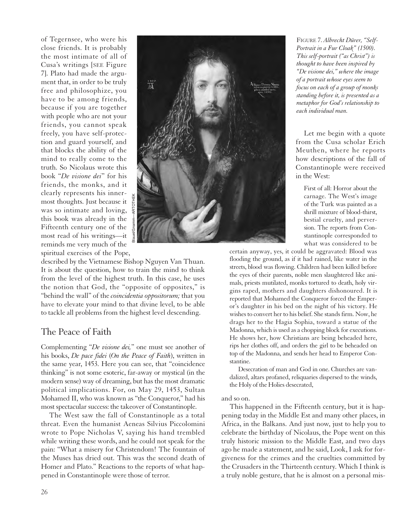of Tegernsee, who were his close friends. It is probably the most intimate of all of Cusa's writings [SEE Figure 7]. Plato had made the argument that, in order to be truly free and philosophize, you have to be among friends, because if you are together with people who are not your friends, you cannot speak freely, you have self-protection and guard yourself, and that blocks the ability of the mind to really come to the truth. So Nicolaus wrote this book "*De visione dei*" for his friends, the monks, and it clearly represents his innermost thoughts. Just because it was so intimate and loving, this book was already in the Fifteenth century one of the most read of his writings—it reminds me very much of the spiritual exercises of the Pope,



described by the Vietnamese Bishop Nguyen Van Thuan. It is about the question, how to train the mind to think from the level of the highest truth. In this case, he uses the notion that God, the "opposite of opposites," is "behind the wall" of the *coincidentia oppositorum;* that you have to elevate your mind to that divine level, to be able to tackle all problems from the highest level descending.

### The Peace of Faith

Complementing "*De visione dei,*" one must see another of his books, *De pace fidei* (*On the Peace of Faith*), written in the same year, 1453. Here you can see, that "coincidence thinking" is not some esoteric, far-away or mystical (in the modern sense) way of dreaming, but has the most dramatic political implications. For, on May 29, 1453, Sultan Mohamed II, who was known as "the Conqueror," had his most spectacular success: the takeover of Constantinople.

The West saw the fall of Constantinople as a total threat. Even the humanist Aeneas Silvius Piccolomini wrote to Pope Nicholas V, saying his hand trembled while writing these words, and he could not speak for the pain: "What a misery for Christendom! The fountain of the Muses has dried out. This was the second death of Homer and Plato." Reactions to the reports of what happened in Constantinople were those of terror.

FIGURE 7. *Albrecht Dürer, "Self-Portrait in a Fur Cloak" (1500). This self-portrait ("as Christ") is thought to have been inspired by "De visione dei," where the image of a portrait whose eyes seem to focus on each of a group of monks standing before it, is presented as a metaphor for God's relationship to each individual man.*

Let me begin with a quote from the Cusa scholar Erich Meuthen, where he reports how descriptions of the fall of Constantinople were received in the West:

First of all: Horror about the carnage. The West's image of the Turk was painted as a shrill mixture of blood-thirst, bestial cruelty, and perversion. The reports from Constantinople corresponded to what was considered to be

certain anyway, yes, it could be aggravated: Blood was flooding the ground, as if it had rained, like water in the streets, blood was flowing. Children had been killed before the eyes of their parents, noble men slaughtered like animals, priests mutilated, monks tortured to death, holy virgins raped, mothers and daughters dishonoured. It is reported that Mohamed the Conqueror forced the Emperor's daughter in his bed on the night of his victory. He wishes to convert her to his belief. She stands firm. Now, he drags her to the Hagia Sophia, toward a statue of the Madonna, which is used as a chopping block for executions. He shows her, how Christians are being beheaded here, rips her clothes off, and orders the girl to be beheaded on top of the Madonna, and sends her head to Emperor Constantine.

Desecration of man and God in one. Churches are vandalized, altars profaned, reliquaries dispersed to the winds, the Holy of the Holies desecrated,

### and so on.

This happened in the Fifteenth century, but it is happening today in the Middle Est and many other places, in Africa, in the Balkans. And just now, just to help you to celebrate the birthday of Nicolaus, the Pope went on this truly historic mission to the Middle East, and two days ago he made a statement, and he said, Look, I ask for forgiveness for the crimes and the cruelties committed by the Crusaders in the Thirteenth century. Which I think is a truly noble gesture, that he is almost on a personal mis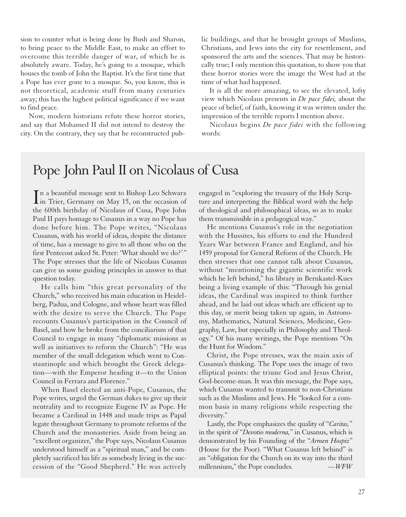sion to counter what is being done by Bush and Sharon, to bring peace to the Middle East, to make an effort to overcome this terrible danger of war, of which he is absolutely aware. Today, he's going to a mosque, which houses the tomb of John the Baptist. It's the first time that a Pope has ever gone to a mosque. So, you know, this is not theoretical, academic stuff from many centuries away; this has the highest political significance if we want to find peace.

Now, modern historians refute these horror stories, and say that Mohamed II did not intend to destroy the city. On the contrary, they say that he reconstructed public buildings, and that he brought groups of Muslims, Christians, and Jews into the city for resettlement, and sponsored the arts and the sciences. That may be historically true; I only mention this quotation, to show you that these horror stories were the image the West had at the time of what had happened.

It is all the more amazing, to see the elevated, lofty view which Nicolaus presents in *De pace fidei,* about the peace of belief, of faith, knowing it was written under the impression of the terrible reports I mention above.

Nicolaus begins *De pace fidei* with the following words:

### Pope John Paul II on Nicolaus of Cusa

In a beautiful message sent to Bishop Leo Schwarz<br>in Trier, Germany on May 15, on the occasion of n a beautiful message sent to Bishop Leo Schwarz the 600th birthday of Nicolaus of Cusa, Pope John Paul II pays homage to Cusanus in a way no Pope has done before him. The Pope writes, "Nicolaus Cusanus, with his world of ideas, despite the distance of time, has a message to give to all those who on the first Pentecost asked St. Peter: 'What should we do?'" The Pope stresses that the life of Nicolaus Cusanus can give us some guiding principles in answer to that question today.

He calls him "this great personality of the Church," who received his main education in Heidelberg, Padua, and Cologne, and whose heart was filled with the desire to serve the Church. The Pope recounts Cusanus's participation in the Council of Basel, and how he broke from the conciliarism of that Council to engage in many "diplomatic missions as well as initiatives to reform the Church": "He was member of the small delegation which went to Constantinople and which brought the Greek delegation—with the Emperor heading it—to the Union Council in Ferrara and Florence."

When Basel elected an anti-Pope, Cusanus, the Pope writes, urged the German dukes to give up their neutrality and to recognize Eugene IV as Pope. He became a Cardinal in 1448 and made trips as Papal legate throughout Germany to promote reforms of the Church and the monasteries. Aside from being an "excellent organizer," the Pope says, Nicolaus Cusanus understood himself as a "spiritual man," and he completely sacrificed his life as somebody living in the succession of the "Good Shepherd." He was actively

engaged in "exploring the treasury of the Holy Scripture and interpreting the Biblical word with the help of theological and philosophical ideas, so as to make them transmissible in a pedagogical way."

He mentions Cusanus's role in the negotiation with the Hussites, his efforts to end the Hundred Years War between France and England, and his 1459 proposal for General Reform of the Church. He then stresses that one cannot talk about Cusanus, without "mentioning the gigantic scientific work which he left behind," his library in Bernkastel-Kues being a living example of this: "Through his genial ideas, the Cardinal was inspired to think further ahead, and he laid out ideas which are efficient up to this day, or merit being taken up again, in Astronomy, Mathematics, Natural Sciences, Medicine, Geography, Law, but especially in Philosophy and Theology." Of his many writings, the Pope mentions "On the Hunt for Wisdom."

Christ, the Pope stresses, was the main axis of Cusanus's thinking. The Pope uses the image of two elliptical points: the triune God and Jesus Christ, God-become-man. It was this message, the Pope says, which Cusanus wanted to transmit to non-Christians such as the Muslims and Jews. He "looked for a common basis in many religions while respecting the diversity."

Lastly, the Pope emphasizes the quality of "*Caritas,*" in the spirit of "*Devotio moderna,*" in Cusanus, which is demonstrated by his Founding of the "*Armen Hospiz*" (House for the Poor). "What Cusanus left behind" is an "obligation for the Church on its way into the third millennium," the Pope concludes. *—WFW*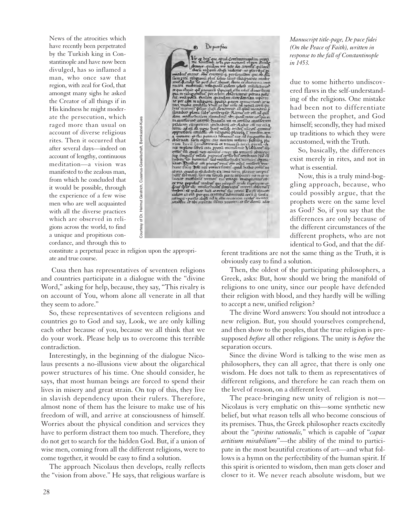News of the atrocities which have recently been perpetrated by the Turkish king in Constantinople and have now been divulged, has so inflamed a man, who once saw that region, with zeal for God, that amongst many sighs he asked the Creator of all things if in His kindness he might moderate the persecution, which raged more than usual on account of diverse religious rites. Then it occurred that after several days—indeed on account of lengthy, continuous meditation—a vision was manifested to the zealous man, from which he concluded that it would be possible, through the experience of a few wise men who are well acquainted with all the diverse practices which are observed in religions across the world, to find a unique and propitious concordance, and through this to



constitute a perpetual peace in religion upon the appropriate and true course.

Cusa then has representatives of seventeen religions and countries participate in a dialogue with the "divine Word," asking for help, because, they say, "This rivalry is on account of You, whom alone all venerate in all that they seem to adore."

So, these representatives of seventeen religions and countries go to God and say, Look, we are only killing each other because of you, because we all think that we do your work. Please help us to overcome this terrible contradiction.

Interestingly, in the beginning of the dialogue Nicolaus presents a no-illusions view about the oligarchical power structures of his time. One should consider, he says, that most human beings are forced to spend their lives in misery and great strain. On top of this, they live in slavish dependency upon their rulers. Therefore, almost none of them has the leisure to make use of his freedom of will, and arrive at consciousness of himself. Worries about the physical condition and services they have to perform distract them too much. Therefore, they do not get to search for the hidden God. But, if a union of wise men, coming from all the different religions, were to come together, it would be easy to find a solution.

The approach Nicolaus then develops, really reflects the "vision from above." He says, that religious warfare is *Manuscript title-page, De pace fidei (On the Peace of Faith), written in response to the fall of Constantinople in 1453.*

due to some hitherto undiscovered flaws in the self-understanding of the religions. One mistake had been not to differentiate between the prophet, and God himself; secondly, they had mixed up traditions to which they were accustomed, with the Truth.

So, basically, the differences exist merely in rites, and not in what is essential.

Now, this is a truly mind-boggling approach, because, who could possibly argue, that the prophets were on the same level as God? So, if you say that the differences are only because of the different circumstances of the different prophets, who are not identical to God, and that the dif-

ferent traditions are not the same thing as the Truth, it is obviously easy to find a solution.

Then, the oldest of the participating philosophers, a Greek, asks: But, how should we bring the manifold of religions to one unity, since our people have defended their religion with blood, and they hardly will be willing to accept a new, unified religion?

The divine Word answers: You should not introduce a new religion. But, you should yourselves comprehend, and then show to the peoples, that the true religion is presupposed *before* all other religions. The unity is *before* the separation occurs.

Since the divine Word is talking to the wise men as philosophers, they can all agree, that there is only one wisdom. He does not talk to them as representatives of different religions, and therefore he can reach them on the level of reason, on a different level.

The peace-bringing new unity of religion is not— Nicolaus is very emphatic on this—some synthetic new belief, but what reason tells all who become conscious of its premises. Thus, the Greek philosopher reacts excitedly about the "*spiritus rationalis,*" which is capable of "*capax artitium mirabilium*"—the ability of the mind to participate in the most beautiful creations of art—and what follows is a hymn on the perfectibility of the human spirit. If this spirit is oriented to wisdom, then man gets closer and closer to it. We never reach absolute wisdom, but we